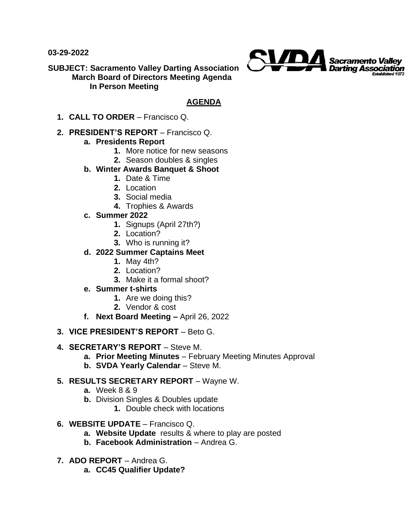**03-29-2022**



**SUBJECT: Sacramento Valley Darting Association March Board of Directors Meeting Agenda In Person Meeting** 

## **AGENDA**

**1. CALL TO ORDER** – Francisco Q.

#### **2. PRESIDENT'S REPORT** – Francisco Q.

## **a. Presidents Report**

- **1.** More notice for new seasons
- **2.** Season doubles & singles

#### **b. Winter Awards Banquet & Shoot**

- **1.** Date & Time
- **2.** Location
- **3.** Social media
- **4.** Trophies & Awards
- **c. Summer 2022**
	- **1.** Signups (April 27th?)
	- **2.** Location?
	- **3.** Who is running it?

# **d. 2022 Summer Captains Meet**

- **1.** May 4th?
- **2.** Location?
- **3.** Make it a formal shoot?
- **e. Summer t-shirts**
	- **1.** Are we doing this?
	- **2.** Vendor & cost
- **f. Next Board Meeting –** April 26, 2022
- **3. VICE PRESIDENT'S REPORT**  Beto G.
- **4. SECRETARY'S REPORT**  Steve M.
	- **a. Prior Meeting Minutes**  February Meeting Minutes Approval
	- **b.** SVDA Yearly Calendar Steve M.

## **5. RESULTS SECRETARY REPORT** – Wayne W.

- **a.** Week 8 & 9
- **b.** Division Singles & Doubles update
	- **1.** Double check with locations
- **6. WEBSITE UPDATE**  Francisco Q.
	- **a. Website Update** results & where to play are posted
	- **b. Facebook Administration** Andrea G.
- **7. ADO REPORT**  Andrea G.
	- **a. CC45 Qualifier Update?**